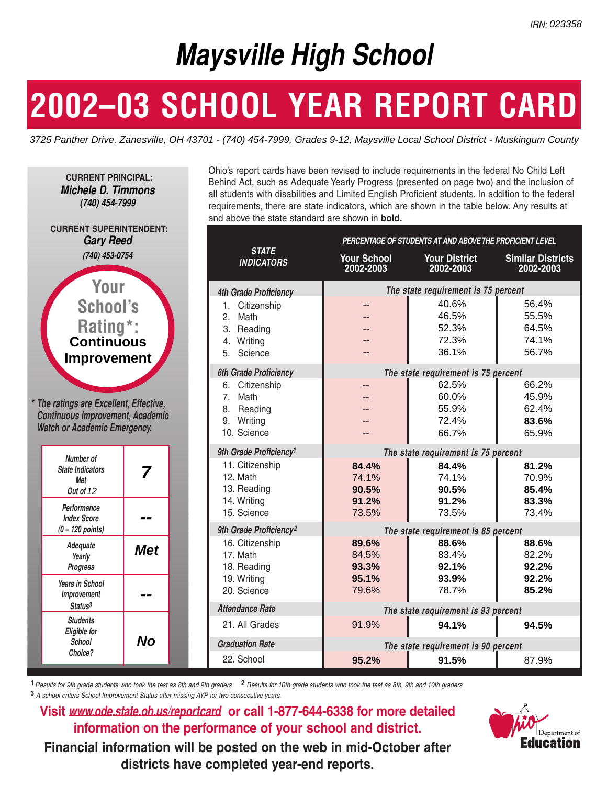# **Maysville High School**

# **2002–03 SCHOOL YEAR REPORT CARD**



|                                                                                                                            | <b>Maysville High School</b>                                                                                                                                                                                                                                                                                                                                                                                                                             |                                  |                                                                |                                           |  |
|----------------------------------------------------------------------------------------------------------------------------|----------------------------------------------------------------------------------------------------------------------------------------------------------------------------------------------------------------------------------------------------------------------------------------------------------------------------------------------------------------------------------------------------------------------------------------------------------|----------------------------------|----------------------------------------------------------------|-------------------------------------------|--|
| 2002-03 SCHOOL YEAR REPORT CARD                                                                                            |                                                                                                                                                                                                                                                                                                                                                                                                                                                          |                                  |                                                                |                                           |  |
| 3725 Panther Drive, Zanesville, OH 43701 - (740) 454-7999, Grades 9-12, Maysville Local School District - Muskingum County |                                                                                                                                                                                                                                                                                                                                                                                                                                                          |                                  |                                                                |                                           |  |
| <b>CURRENT PRINCIPAL:</b><br><b>Michele D. Timmons</b><br>(740) 454-7999                                                   | Ohio's report cards have been revised to include requirements in the federal No Child Left<br>Behind Act, such as Adequate Yearly Progress (presented on page two) and the inclusion of<br>all students with disabilities and Limited English Proficient students. In addition to the federal<br>requirements, there are state indicators, which are shown in the table below. Any results at<br>and above the state standard are shown in <b>bold</b> . |                                  |                                                                |                                           |  |
| <b>CURRENT SUPERINTENDENT:</b><br><b>Gary Reed</b>                                                                         |                                                                                                                                                                                                                                                                                                                                                                                                                                                          |                                  | PERCENTAGE OF STUDENTS AT AND ABOVE THE PROFICIENT LEVEL       |                                           |  |
| (740) 453-0754                                                                                                             | <b>STATE</b><br><b>INDICATORS</b>                                                                                                                                                                                                                                                                                                                                                                                                                        | <b>Your School</b><br>2002-2003  | <b>Your District</b><br>2002-2003                              | <b>Similar Districts</b><br>2002-2003     |  |
| Your                                                                                                                       | <b>4th Grade Proficiency</b>                                                                                                                                                                                                                                                                                                                                                                                                                             |                                  | The state requirement is 75 percent                            |                                           |  |
| <b>School's</b><br>Rating*:<br><b>Continuous</b>                                                                           | Citizenship<br>Math<br>2.<br>3. Reading<br>Writing<br>5. Science                                                                                                                                                                                                                                                                                                                                                                                         | --                               | 40.6%<br>46.5%<br>52.3%<br>72.3%<br>36.1%                      | 56.4%<br>55.5%<br>64.5%<br>74.1%<br>56.7% |  |
| <b>Improvement</b>                                                                                                         | 6th Grade Proficiency                                                                                                                                                                                                                                                                                                                                                                                                                                    |                                  | The state requirement is 75 percent                            |                                           |  |
| * The ratings are Excellent, Effective,<br><b>Continuous Improvement, Academic</b><br><b>Watch or Academic Emergency.</b>  | Citizenship<br>6.<br>Math<br>7 <sub>1</sub><br>Reading<br>8.<br>Writing<br>9.<br>10. Science                                                                                                                                                                                                                                                                                                                                                             |                                  | 62.5%<br>60.0%<br>55.9%<br>72.4%<br>66.7%                      | 66.2%<br>45.9%<br>62.4%<br>83.6%<br>65.9% |  |
|                                                                                                                            | 9th Grade Proficiency <sup>1</sup>                                                                                                                                                                                                                                                                                                                                                                                                                       |                                  | The state requirement is 75 percent                            |                                           |  |
| Number of<br><b>State Indicators</b><br>7<br>Met<br>Out of 12                                                              | 11. Citizenship<br>12. Math<br>13. Reading<br>14. Writing                                                                                                                                                                                                                                                                                                                                                                                                | 84.4%<br>74.1%<br>90.5%<br>91.2% | 84.4%<br>74.1%<br>90.5%<br>91.2%                               | 81.2%<br>70.9%<br>85.4%<br>83.3%          |  |
| Performance<br><b>Index Score</b>                                                                                          | 15. Science                                                                                                                                                                                                                                                                                                                                                                                                                                              | 73.5%                            | 73.5%                                                          | 73.4%                                     |  |
| $(0 - 120$ points)<br>Adequate<br><b>Met</b><br>Yearly<br>Progress                                                         | 9th Grade Proficiency <sup>2</sup><br>16. Citizenship<br>17. Math<br>18. Reading                                                                                                                                                                                                                                                                                                                                                                         | 89.6%<br>84.5%<br>93.3%          | The state requirement is 85 percent<br>88.6%<br>83.4%<br>92.1% | 88.6%<br>82.2%<br>92.2%                   |  |
| <b>Years in School</b><br>Improvement<br>--<br>Status <sup>3</sup>                                                         | 19. Writing<br>20. Science<br><b>Attendance Rate</b>                                                                                                                                                                                                                                                                                                                                                                                                     | 95.1%<br>79.6%                   | 93.9%<br>78.7%<br>The state requirement is 93 percent          | 92.2%<br>85.2%                            |  |
| <b>Students</b>                                                                                                            | 21. All Grades                                                                                                                                                                                                                                                                                                                                                                                                                                           | 91.9%                            | 94.1%                                                          | 94.5%                                     |  |
| <b>Eligible for</b><br><b>No</b><br><b>School</b><br>Choice?                                                               | <b>Graduation Rate</b><br>22. School                                                                                                                                                                                                                                                                                                                                                                                                                     | 95.2%                            | The state requirement is 90 percent<br>91.5%                   | 87.9%                                     |  |

**1** *Results for 9th grade students who took the test as 8th and 9th graders* **2** *Results for 10th grade students who took the test as 8th, 9th and 10th graders*  **3** *A school enters School Improvement Status after missing AYP for two consecutive years.*

**Visit** *www.ode.state.oh.us/reportcard* **or call 1-877-644-6338 for more detailed information on the performance of your school and district.**

**Financial information will be posted on the web in mid-October after districts have completed year-end reports.**

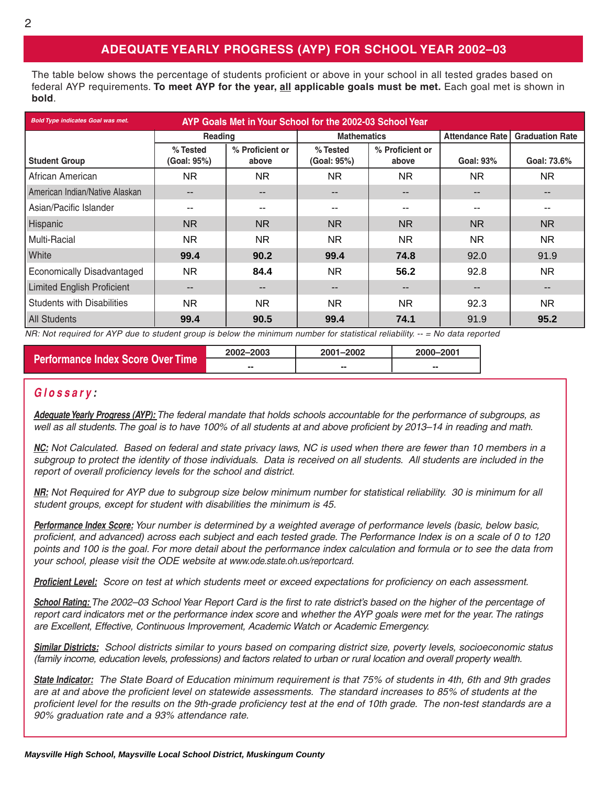## **ADEQUATE YEARLY PROGRESS (AYP) FOR SCHOOL YEAR 2002–03**

The table below shows the percentage of students proficient or above in your school in all tested grades based on federal AYP requirements. **To meet AYP for the year, all applicable goals must be met.** Each goal met is shown in **bold**.

| <b>Bold Type indicates Goal was met.</b> | AYP Goals Met in Your School for the 2002-03 School Year |                          |                                                     |           |                              |                        |  |  |  |
|------------------------------------------|----------------------------------------------------------|--------------------------|-----------------------------------------------------|-----------|------------------------------|------------------------|--|--|--|
|                                          | <b>Reading</b>                                           |                          | <b>Mathematics</b>                                  |           | <b>Attendance Rate I</b>     | <b>Graduation Rate</b> |  |  |  |
| <b>Student Group</b>                     | % Tested<br>(Goal: 95%)                                  | % Proficient or<br>above | % Tested<br>% Proficient or<br>(Goal: 95%)<br>above |           | Goal: 93%                    | Goal: 73.6%            |  |  |  |
| African American                         | NR.                                                      | NR.                      | NR.                                                 | NR.       | NR.                          | NR.                    |  |  |  |
| American Indian/Native Alaskan           | --                                                       |                          | $- -$                                               |           | $\qquad \qquad -$            |                        |  |  |  |
| Asian/Pacific Islander                   | --                                                       |                          | --                                                  |           | --                           |                        |  |  |  |
| <b>Hispanic</b>                          | <b>NR</b>                                                | N <sub>R</sub>           | <b>NR</b>                                           | <b>NR</b> | <b>NR</b>                    | <b>NR</b>              |  |  |  |
| Multi-Racial                             | NR.                                                      | NR.                      | NR.                                                 | NR.       | NR.                          | <b>NR</b>              |  |  |  |
| <b>White</b>                             | 99.4                                                     | 90.2                     | 99.4                                                | 74.8      | 92.0                         | 91.9                   |  |  |  |
| <b>Economically Disadvantaged</b>        | NR.                                                      | 84.4                     | NR.                                                 | 56.2      | 92.8                         | <b>NR</b>              |  |  |  |
| <b>Limited English Proficient</b>        |                                                          |                          | $-$                                                 | --        | $\qquad \qquad \blacksquare$ |                        |  |  |  |
| <b>Students with Disabilities</b>        | NR.                                                      | NR.                      | NR.                                                 | NR.       | 92.3                         | <b>NR</b>              |  |  |  |
| All Students                             | 99.4                                                     | 90.5                     | 99.4                                                | 74.1      | 91.9                         | 95.2                   |  |  |  |

*NR: Not required for AYP due to student group is below the minimum number for statistical reliability. -- = No data reported*

|                                          | 2002-2003 | 2001-2002 | 2000-2001 |  |
|------------------------------------------|-----------|-----------|-----------|--|
| <b>Performance Index Score Over Time</b> | --        | --        | --        |  |

### *Glossary :*

*Adequate Yearly Progress (AYP): The federal mandate that holds schools accountable for the performance of subgroups, as well as all students. The goal is to have 100% of all students at and above proficient by 2013–14 in reading and math.*

*NC: Not Calculated. Based on federal and state privacy laws, NC is used when there are fewer than 10 members in a subgroup to protect the identity of those individuals. Data is received on all students. All students are included in the report of overall proficiency levels for the school and district.*

*NR: Not Required for AYP due to subgroup size below minimum number for statistical reliability. 30 is minimum for all student groups, except for student with disabilities the minimum is 45.*

*Performance Index Score: Your number is determined by a weighted average of performance levels (basic, below basic, proficient, and advanced) across each subject and each tested grade. The Performance Index is on a scale of 0 to 120 points and 100 is the goal. For more detail about the performance index calculation and formula or to see the data from your school, please visit the ODE website at www.ode.state.oh.us/reportcard.*

*Proficient Level: Score on test at which students meet or exceed expectations for proficiency on each assessment.*

*School Rating: The 2002–03 School Year Report Card is the first to rate district's based on the higher of the percentage of report card indicators met or the performance index score* and *whether the AYP goals were met for the year. The ratings are Excellent, Effective, Continuous Improvement, Academic Watch or Academic Emergency.*

*Similar Districts: School districts similar to yours based on comparing district size, poverty levels, socioeconomic status (family income, education levels, professions) and factors related to urban or rural location and overall property wealth.*

*State Indicator: The State Board of Education minimum requirement is that 75% of students in 4th, 6th and 9th grades are at and above the proficient level on statewide assessments. The standard increases to 85% of students at the proficient level for the results on the 9th-grade proficiency test at the end of 10th grade. The non-test standards are a 90% graduation rate and a 93% attendance rate.*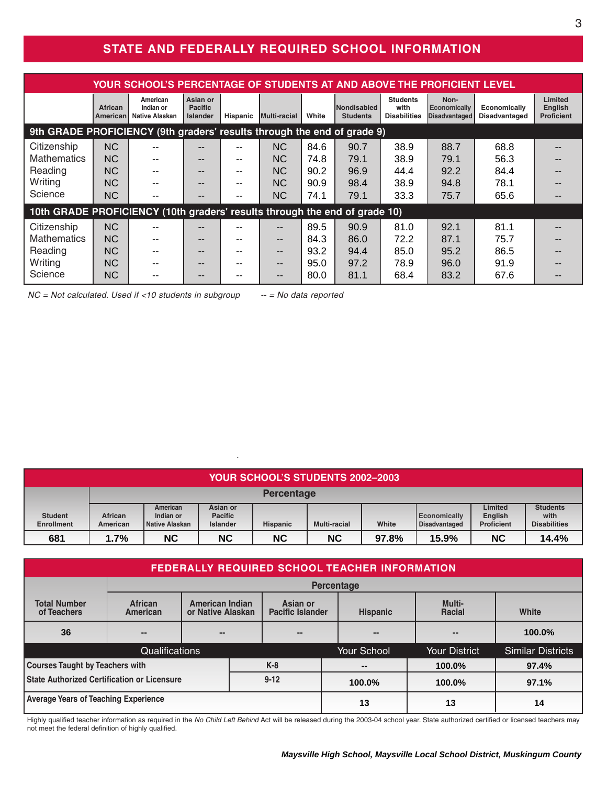# **STATE AND FEDERALLY REQUIRED SCHOOL INFORMATION**

| YOUR SCHOOL'S PERCENTAGE OF STUDENTS AT AND ABOVE THE PROFICIENT LEVEL     |                            |                                                |                                               |                 |                |       |                                |                                                |                                              |                                      |                                         |
|----------------------------------------------------------------------------|----------------------------|------------------------------------------------|-----------------------------------------------|-----------------|----------------|-------|--------------------------------|------------------------------------------------|----------------------------------------------|--------------------------------------|-----------------------------------------|
|                                                                            | <b>African</b><br>American | American<br>Indian or<br><b>Native Alaskan</b> | Asian or<br><b>Pacific</b><br><b>Islander</b> | <b>Hispanic</b> | Multi-racial   | White | Nondisabled<br><b>Students</b> | <b>Students</b><br>with<br><b>Disabilities</b> | Non-<br>Economically<br><b>Disadvantaged</b> | Economically<br><b>Disadvantaged</b> | Limited<br>English<br><b>Proficient</b> |
| 9th GRADE PROFICIENCY (9th graders' results through the end of grade 9)    |                            |                                                |                                               |                 |                |       |                                |                                                |                                              |                                      |                                         |
| Citizenship                                                                | <b>NC</b>                  |                                                |                                               |                 | <b>NC</b>      | 84.6  | 90.7                           | 38.9                                           | 88.7                                         | 68.8                                 |                                         |
| <b>Mathematics</b>                                                         | <b>NC</b>                  |                                                | --                                            | --              | N <sub>C</sub> | 74.8  | 79.1                           | 38.9                                           | 79.1                                         | 56.3                                 |                                         |
| Reading                                                                    | <b>NC</b>                  | $- -$                                          | --                                            | $- -$           | N <sub>C</sub> | 90.2  | 96.9                           | 44.4                                           | 92.2                                         | 84.4                                 |                                         |
| Writing                                                                    | <b>NC</b>                  |                                                | --                                            | --              | NC.            | 90.9  | 98.4                           | 38.9                                           | 94.8                                         | 78.1                                 |                                         |
| Science                                                                    | <b>NC</b>                  |                                                | --                                            | --              | <b>NC</b>      | 74.1  | 79.1                           | 33.3                                           | 75.7                                         | 65.6                                 |                                         |
| 10th GRADE PROFICIENCY (10th graders' results through the end of grade 10) |                            |                                                |                                               |                 |                |       |                                |                                                |                                              |                                      |                                         |
| Citizenship                                                                | <b>NC</b>                  |                                                |                                               |                 | $- -$          | 89.5  | 90.9                           | 81.0                                           | 92.1                                         | 81.1                                 |                                         |
| <b>Mathematics</b>                                                         | <b>NC</b>                  |                                                | --                                            |                 | $- -$          | 84.3  | 86.0                           | 72.2                                           | 87.1                                         | 75.7                                 |                                         |
| Reading                                                                    | <b>NC</b>                  |                                                | --                                            |                 | $- -$          | 93.2  | 94.4                           | 85.0                                           | 95.2                                         | 86.5                                 |                                         |
| Writing                                                                    | <b>NC</b>                  |                                                | --                                            |                 | $- -$          | 95.0  | 97.2                           | 78.9                                           | 96.0                                         | 91.9                                 |                                         |
| Science                                                                    | <b>NC</b>                  |                                                | --                                            | --              | $- -$          | 80.0  | 81.1                           | 68.4                                           | 83.2                                         | 67.6                                 |                                         |

**9th GRADE PROFICIENCY (9th graders' results through the end of grade 9)** *NC = Not calculated. Used if <10 students in subgroup -- = No data reported*

| <b>YOUR SCHOOL'S STUDENTS 2002-2003</b> |                     |                                         |                                               |                   |                     |       |                                      |                                         |                                                |
|-----------------------------------------|---------------------|-----------------------------------------|-----------------------------------------------|-------------------|---------------------|-------|--------------------------------------|-----------------------------------------|------------------------------------------------|
|                                         |                     |                                         |                                               | <b>Percentage</b> |                     |       |                                      |                                         |                                                |
| <b>Student</b><br>Enrollment            | African<br>American | American<br>Indian or<br>Native Alaskan | Asian or<br><b>Pacific</b><br><b>Islander</b> | <b>Hispanic</b>   | <b>Multi-racial</b> | White | <b>Economically</b><br>Disadvantaged | Limited<br>English<br><b>Proficient</b> | <b>Students</b><br>with<br><b>Disabilities</b> |
| 681                                     | 1.7%                | <b>NC</b>                               | <b>NC</b>                                     | <b>NC</b>         | <b>NC</b>           | 97.8% | 15.9%                                | <b>NC</b>                               | 14.4%                                          |

*.*

| <b>FEDERALLY REQUIRED SCHOOL TEACHER INFORMATION</b>           |                     |                                                                                    |  |  |                 |                  |                      |                          |  |
|----------------------------------------------------------------|---------------------|------------------------------------------------------------------------------------|--|--|-----------------|------------------|----------------------|--------------------------|--|
|                                                                | Percentage          |                                                                                    |  |  |                 |                  |                      |                          |  |
| <b>Total Number</b><br>of Teachers                             | African<br>American | Asian or<br><b>American Indian</b><br>or Native Alaskan<br><b>Pacific Islander</b> |  |  | <b>Hispanic</b> | Multi-<br>Racial | White                |                          |  |
| 36                                                             | --                  | --<br>$- -$                                                                        |  |  |                 |                  | $- -$                | $100.0\%$                |  |
| <b>Qualifications</b>                                          |                     |                                                                                    |  |  |                 | Your School      | <b>Your District</b> | <b>Similar Districts</b> |  |
| <b>Courses Taught by Teachers with</b><br>$K-8$                |                     |                                                                                    |  |  |                 | --               | 100.0%               | 97.4%                    |  |
| <b>State Authorized Certification or Licensure</b><br>$9 - 12$ |                     |                                                                                    |  |  | 100.0%          | 100.0%           | 97.1%                |                          |  |
| <b>Average Years of Teaching Experience</b>                    |                     |                                                                                    |  |  |                 | 13               | 13                   | 14                       |  |

Highly qualified teacher information as required in the *No Child Left Behind* Act will be released during the 2003-04 school year. State authorized certified or licensed teachers may not meet the federal definition of highly qualified.